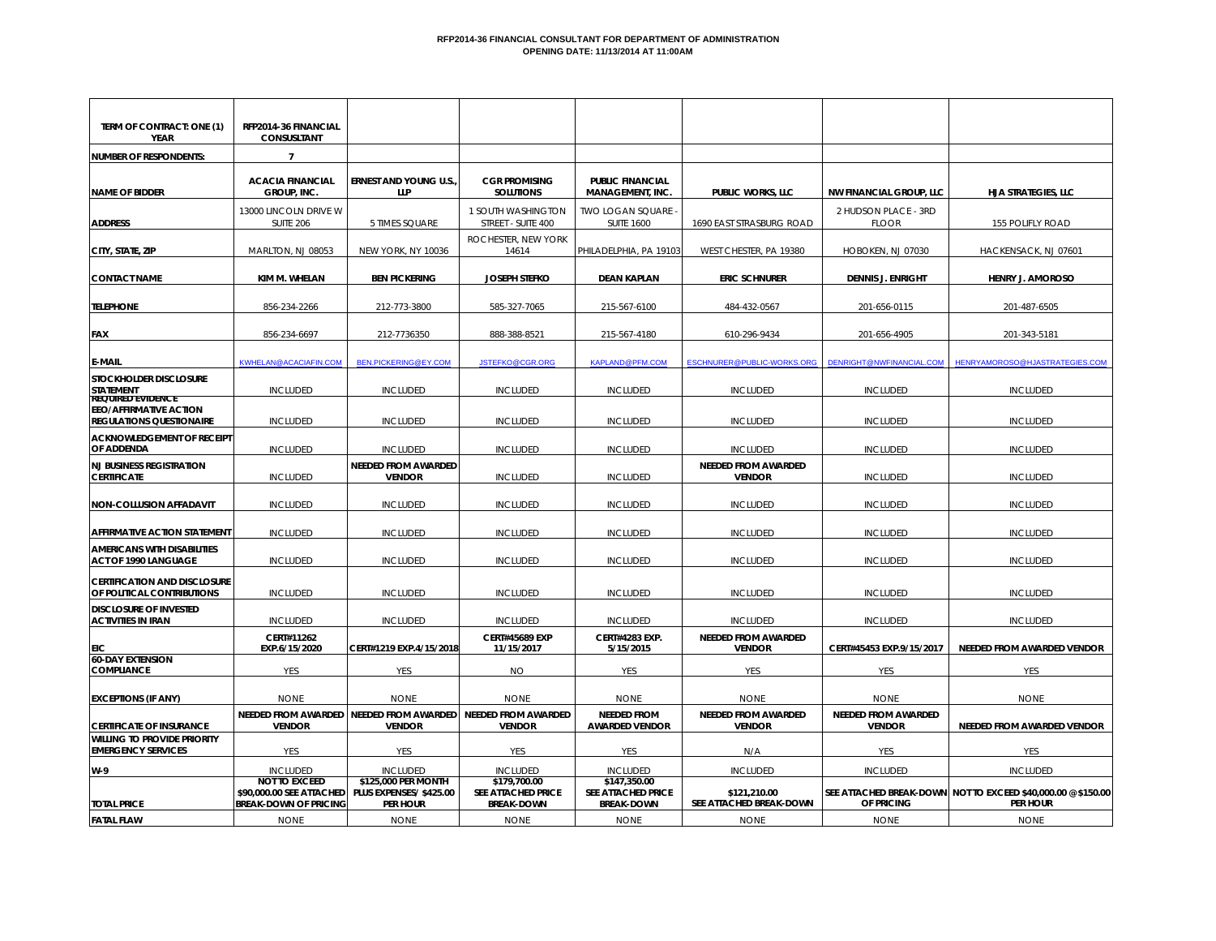#### **RFP2014-36 FINANCIAL CONSULTANT FOR DEPARTMENT OF ADMINISTRATION OPENING DATE: 11/13/2014 AT 11:00AM**

| TERM OF CONTRACT: ONE (1)<br>YEAR                                 | RFP2014-36 FINANCIAL<br>CONSUSLTANT                                              |                                                                   |                                                                |                                                         |                                             |                                             |                                                                                 |
|-------------------------------------------------------------------|----------------------------------------------------------------------------------|-------------------------------------------------------------------|----------------------------------------------------------------|---------------------------------------------------------|---------------------------------------------|---------------------------------------------|---------------------------------------------------------------------------------|
| <b>NUMBER OF RESPONDENTS:</b>                                     | $\overline{7}$                                                                   |                                                                   |                                                                |                                                         |                                             |                                             |                                                                                 |
| <b>NAME OF BIDDER</b>                                             | <b>ACACIA FINANCIAL</b><br>GROUP, INC.                                           | <b>ERNEST AND YOUNG U.S.</b><br>LLP                               | <b>CGR PROMISING</b><br><b>SOLUTIONS</b>                       | <b>PUBLIC FINANCIAL</b><br>MANAGEMENT, INC.             | <b>PUBLIC WORKS, LLC</b>                    | <b>NW FINANCIAL GROUP, LLC</b>              | HJA STRATEGIES, LLC                                                             |
| <b>ADDRESS</b>                                                    | 13000 LINCOLN DRIVE W<br><b>SUITE 206</b>                                        | 5 TIMES SQUARE                                                    | 1 SOUTH WASHINGTON<br>STREET - SUITE 400                       | TWO LOGAN SQUARE<br><b>SUITE 1600</b>                   | 1690 EAST STRASBURG ROAD                    | 2 HUDSON PLACE - 3RD<br><b>FLOOR</b>        | 155 POLIFLY ROAD                                                                |
| CITY, STATE, ZIP                                                  | MARLTON, NJ 08053                                                                | NEW YORK, NY 10036                                                | ROCHESTER, NEW YORK<br>14614                                   | PHILADELPHIA, PA 19103                                  | WEST CHESTER, PA 19380                      | HOBOKEN, NJ 07030                           | HACKENSACK, NJ 07601                                                            |
| <b>CONTACT NAME</b>                                               | KIM M. WHELAN                                                                    | <b>BEN PICKERING</b>                                              | <b>JOSEPH STEFKO</b>                                           | <b>DEAN KAPLAN</b>                                      | <b>ERIC SCHNURER</b>                        | <b>DENNIS J. ENRIGHT</b>                    | <b>HENRY J. AMOROSO</b>                                                         |
| <b>TELEPHONE</b>                                                  | 856-234-2266                                                                     | 212-773-3800                                                      | 585-327-7065                                                   | 215-567-6100                                            | 484-432-0567                                | 201-656-0115                                | 201-487-6505                                                                    |
| FAX                                                               | 856-234-6697                                                                     | 212-7736350                                                       | 888-388-8521                                                   | 215-567-4180                                            | 610-296-9434                                | 201-656-4905                                | 201-343-5181                                                                    |
| <b>E-MAIL</b>                                                     | KWHELAN@ACACIAFIN.COM                                                            | BEN.PICKERING@EY.COM                                              | JSTEFKO@CGR.ORG                                                | <b>KAPLAND@PFM.COM</b>                                  | ESCHNURER@PUBLIC-WORKS.ORG                  | DENRIGHT@NWFINANCIAL.COM                    | HENRYAMOROSO@HJASTRATEGIES.COM                                                  |
| STOCKHOLDER DISCLOSURE<br>STATEMENT<br><b>REQUIRED EVIDENCE</b>   | <b>INCLUDED</b>                                                                  | <b>INCLUDED</b>                                                   | <b>INCLUDED</b>                                                | <b>INCLUDED</b>                                         | <b>INCLUDED</b>                             | <b>INCLUDED</b>                             | <b>INCLUDED</b>                                                                 |
| <b>EEO/AFFIRMATIVE ACTION</b><br><b>REGULATIONS QUESTIONAIRE</b>  | <b>INCLUDED</b>                                                                  | <b>INCLUDED</b>                                                   | <b>INCLUDED</b>                                                | <b>INCLUDED</b>                                         | <b>INCLUDED</b>                             | <b>INCLUDED</b>                             | <b>INCLUDED</b>                                                                 |
| <b>ACKNOWLEDGEMENT OF RECEIPT</b><br>OF ADDENDA                   | <b>INCLUDED</b>                                                                  | <b>INCLUDED</b>                                                   | <b>INCLUDED</b>                                                | <b>INCLUDED</b>                                         | <b>INCLUDED</b>                             | <b>INCLUDED</b>                             | <b>INCLUDED</b>                                                                 |
| <b>NJ BUSINESS REGISTRATION</b><br><b>CERTIFICATE</b>             | <b>INCLUDED</b>                                                                  | <b>NEEDED FROM AWARDED</b><br><b>VENDOR</b>                       | <b>INCLUDED</b>                                                | <b>INCLUDED</b>                                         | NEEDED FROM AWARDED<br><b>VENDOR</b>        | <b>INCLUDED</b>                             | <b>INCLUDED</b>                                                                 |
| <b>NON-COLLUSION AFFADAVIT</b>                                    | <b>INCLUDED</b>                                                                  | <b>INCLUDED</b>                                                   | <b>INCLUDED</b>                                                | <b>INCLUDED</b>                                         | <b>INCLUDED</b>                             | <b>INCLUDED</b>                             | <b>INCLUDED</b>                                                                 |
| <b>AFFIRMATIVE ACTION STATEMENT</b>                               | <b>INCLUDED</b>                                                                  | <b>INCLUDED</b>                                                   | <b>INCLUDED</b>                                                | <b>INCLUDED</b>                                         | <b>INCLUDED</b>                             | <b>INCLUDED</b>                             | <b>INCLUDED</b>                                                                 |
| <b>AMERICANS WITH DISABILITIES</b><br>ACT OF 1990 LANGUAGE        | <b>INCLUDED</b>                                                                  | <b>INCLUDED</b>                                                   | <b>INCLUDED</b>                                                | <b>INCLUDED</b>                                         | <b>INCLUDED</b>                             | <b>INCLUDED</b>                             | <b>INCLUDED</b>                                                                 |
| <b>CERTIFICATION AND DISCLOSURE</b><br>OF POLITICAL CONTRIBUTIONS | <b>INCLUDED</b>                                                                  | <b>INCLUDED</b>                                                   | <b>INCLUDED</b>                                                | <b>INCLUDED</b>                                         | <b>INCLUDED</b>                             | <b>INCLUDED</b>                             | <b>INCLUDED</b>                                                                 |
| <b>DISCLOSURE OF INVESTED</b><br><b>ACTIVITIES IN IRAN</b>        | <b>INCLUDED</b>                                                                  | <b>INCLUDED</b>                                                   | <b>INCLUDED</b>                                                | <b>INCLUDED</b>                                         | <b>INCLUDED</b>                             | <b>INCLUDED</b>                             | <b>INCLUDED</b>                                                                 |
|                                                                   | CERT#11262<br>EXP.6/15/2020                                                      | CERT#1219 EXP.4/15/2018                                           | <b>CERT#45689 EXP</b><br>11/15/2017                            | <b>CERT#4283 EXP.</b><br>5/15/2015                      | <b>NEEDED FROM AWARDED</b><br><b>VENDOR</b> | CERT#45453 EXP.9/15/2017                    | NEEDED FROM AWARDED VENDOR                                                      |
| <b>60-DAY EXTENSION</b><br><b>COMPLIANCE</b>                      | YES                                                                              | YES                                                               | ΝO                                                             | <b>YES</b>                                              | YES                                         | <b>YES</b>                                  | YES                                                                             |
| <b>EXCEPTIONS (IF ANY)</b>                                        | <b>NONE</b>                                                                      | <b>NONE</b>                                                       | <b>NONE</b>                                                    | <b>NONE</b>                                             | <b>NONE</b>                                 | <b>NONE</b>                                 | <b>NONE</b>                                                                     |
| <b>CERTIFICATE OF INSURANCE</b>                                   | <b>NEEDED FROM AWARDED</b><br><b>VENDOR</b>                                      | <b>NEEDED FROM AWARDED</b><br><b>VENDOR</b>                       | <b>NEEDED FROM AWARDED</b><br><b>VENDOR</b>                    | <b>NEEDED FROM</b><br><b>AWARDED VENDOR</b>             | <b>NEEDED FROM AWARDED</b><br><b>VENDOR</b> | <b>NEEDED FROM AWARDED</b><br><b>VENDOR</b> | NEEDED FROM AWARDED VENDOR                                                      |
| <b>WILLING TO PROVIDE PRIORITY</b><br><b>EMERGENCY SERVICES</b>   | YES                                                                              | <b>YES</b>                                                        | <b>YES</b>                                                     | <b>YES</b>                                              | N/A                                         | YES                                         | <b>YES</b>                                                                      |
| W-9                                                               | <b>INCLUDED</b>                                                                  | <b>INCLUDED</b>                                                   | <b>INCLUDED</b>                                                | <b>INCLUDED</b>                                         | <b>INCLUDED</b>                             | <b>INCLUDED</b>                             | <b>INCLUDED</b>                                                                 |
| <b>TOTAL PRICE</b>                                                | <b>NOT TO EXCEED</b><br>\$90,000.00 SEE ATTACHED<br><b>BREAK-DOWN OF PRICING</b> | \$125,000 PER MONTH<br>PLUS EXPENSES/ \$425.00<br><b>PER HOUR</b> | \$179.700.00<br><b>SEE ATTACHED PRICE</b><br><b>BREAK-DOWN</b> | \$147,350.00<br>SEE ATTACHED PRICE<br><b>BREAK-DOWN</b> | \$121,210.00<br>SEE ATTACHED BREAK-DOWN     | OF PRICING                                  | SEE ATTACHED BREAK-DOWN NOT TO EXCEED \$40,000.00 @ \$150.00<br><b>PER HOUR</b> |
| <b>FATAL FLAW</b>                                                 | <b>NONE</b>                                                                      | <b>NONE</b>                                                       | <b>NONE</b>                                                    | <b>NONE</b>                                             | <b>NONE</b>                                 | <b>NONE</b>                                 | <b>NONE</b>                                                                     |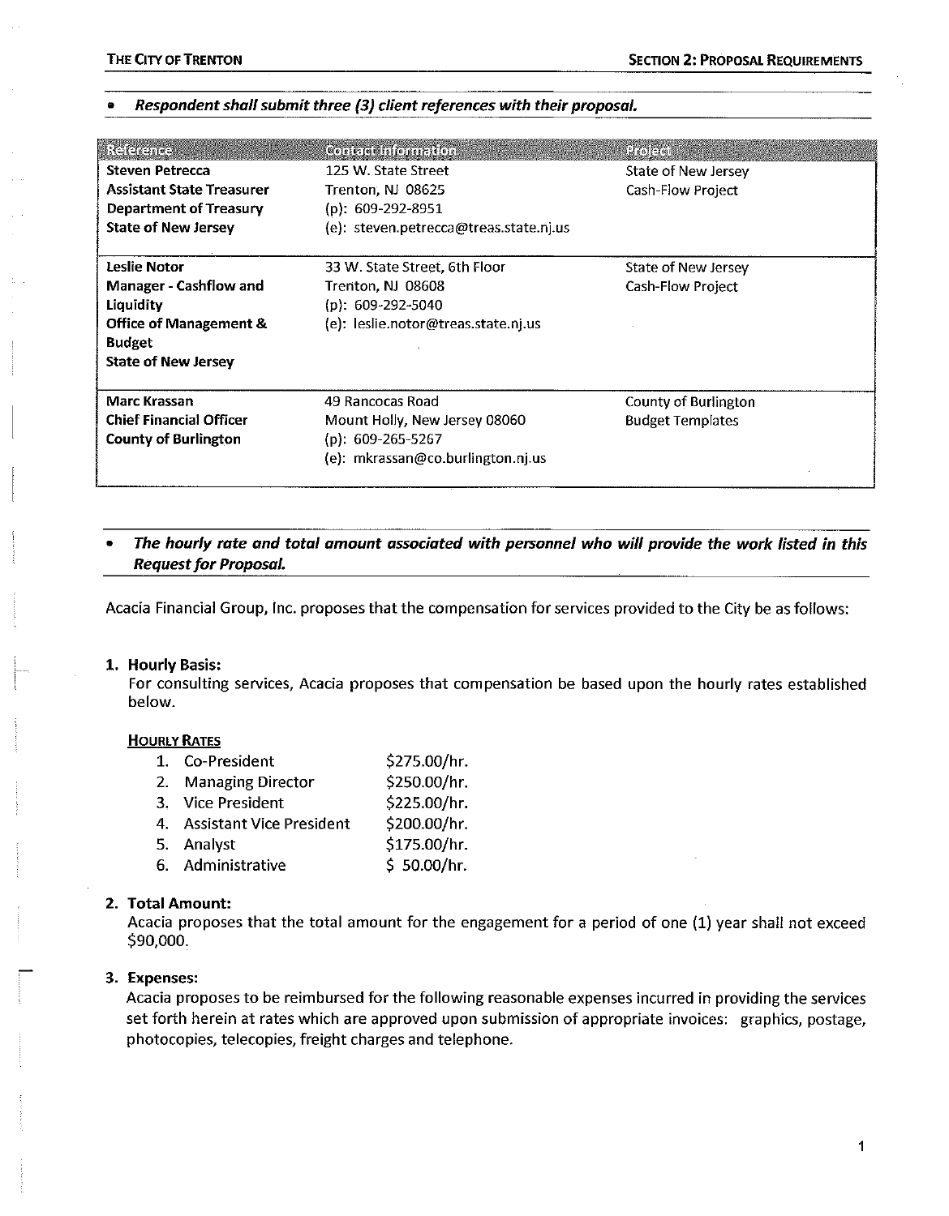### Respondent shall submit three (3) client references with their proposal.

| Reference<br><b>Steven Petrecca</b><br><b>Assistant State Treasurer</b><br>Department of Treasury<br><b>State of New Jersey</b>                | Conjact Information<br>125 W. State Street<br>Trenton, NJ 08625<br>(p): 609-292-8951<br>(e): steven.petrecca@treas.state.nj.us | <b>Preji</b> ción<br>State of New Jersey<br>Cash-Flow Project |
|------------------------------------------------------------------------------------------------------------------------------------------------|--------------------------------------------------------------------------------------------------------------------------------|---------------------------------------------------------------|
| Leslie Notor<br><b>Manager - Cashflow and</b><br>Liquidity<br><b>Office of Management &amp;</b><br><b>Budget</b><br><b>State of New Jersey</b> | 33 W. State Street, 6th Floor<br>Trenton, NJ 08608<br>$(p): 609-292-5040$<br>(e): leslie.notor@treas.state.nj.us               | State of New Jersey<br><b>Cash-Flow Project</b>               |
| <b>Marc Krassan</b><br><b>Chief Financial Officer</b><br><b>County of Burlington</b>                                                           | 49 Rancocas Road<br>Mount Holly, New Jersey 08060<br>(p): $609-265-5267$<br>(e): mkrassan@co.burlington.nj.us                  | County of Burlington<br><b>Budget Templates</b>               |

## The hourly rate and total amount associated with personnel who will provide the work listed in this **Request for Proposal.**

Acacia Financial Group, Inc. proposes that the compensation for services provided to the City be as follows:

### 1. Hourly Basis:

For consulting services, Acacia proposes that compensation be based upon the hourly rates established below.

#### **HOURLY RATES**

| Co-President                   | \$275.00/hr. |
|--------------------------------|--------------|
| <b>Managing Director</b><br>2. | \$250.00/hr. |
| 3. Vice President              | \$225.00/hr. |
| 4. Assistant Vice President    | \$200.00/hr. |
| 5. Analyst                     | \$175.00/hr. |
| 6. Administrative              | \$50.00/hr.  |
|                                |              |

#### 2. Total Amount:

Acacia proposes that the total amount for the engagement for a period of one (1) year shall not exceed \$90,000.

#### 3. Expenses:

Acacia proposes to be reimbursed for the following reasonable expenses incurred in providing the services set forth herein at rates which are approved upon submission of appropriate invoices: graphics, postage, photocopies, telecopies, freight charges and telephone.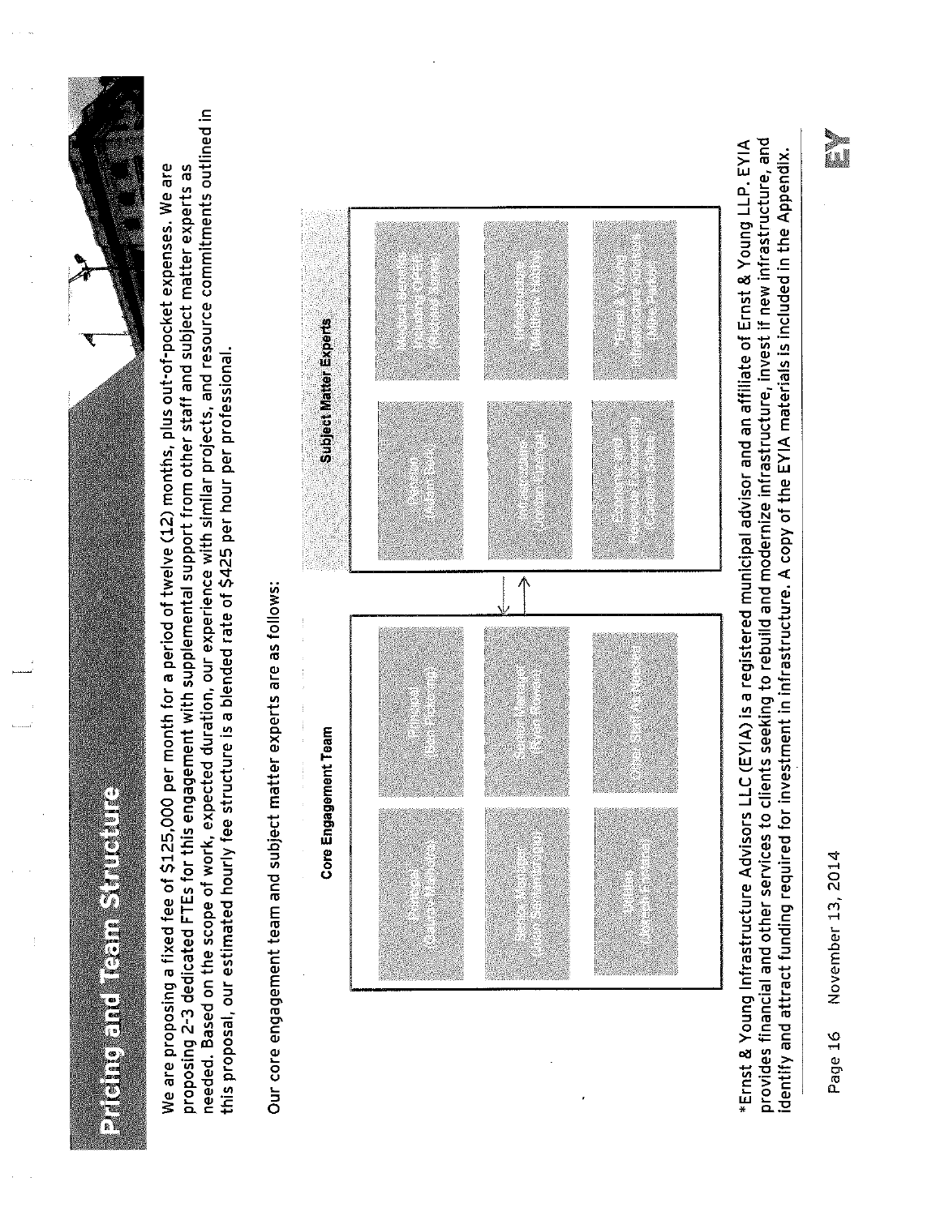



needed. Based on the scope of work, expected duration, our experience with similar projects, and resource commitments outlined in We are proposing a fixed fee of \$125,000 per month for a period of twelve (12) months, plus out-of-pocket expenses. We are proposing 2-3 dedicated FTEs for this engagement with supplemental support from other staff and subject matter experts as this proposal, our estimated hourly fee structure is a blended rate of \$425 per hour per professional.

Our core engagement team and subject matter experts are as follows:



provides financial and other services to clients seeking to rebuild and modernize infrastructure, invest if new infrastructure, and \*Ernst & Young Infrastructure Advisors LLC (EYIA) is a registered municipal advisor and an affiliate of Ernst & Young LLP. EYIA identify and attract funding required for investment in infrastructure. A copy of the EYIA materials is included in the Appendix.

November 13, 2014 Page 16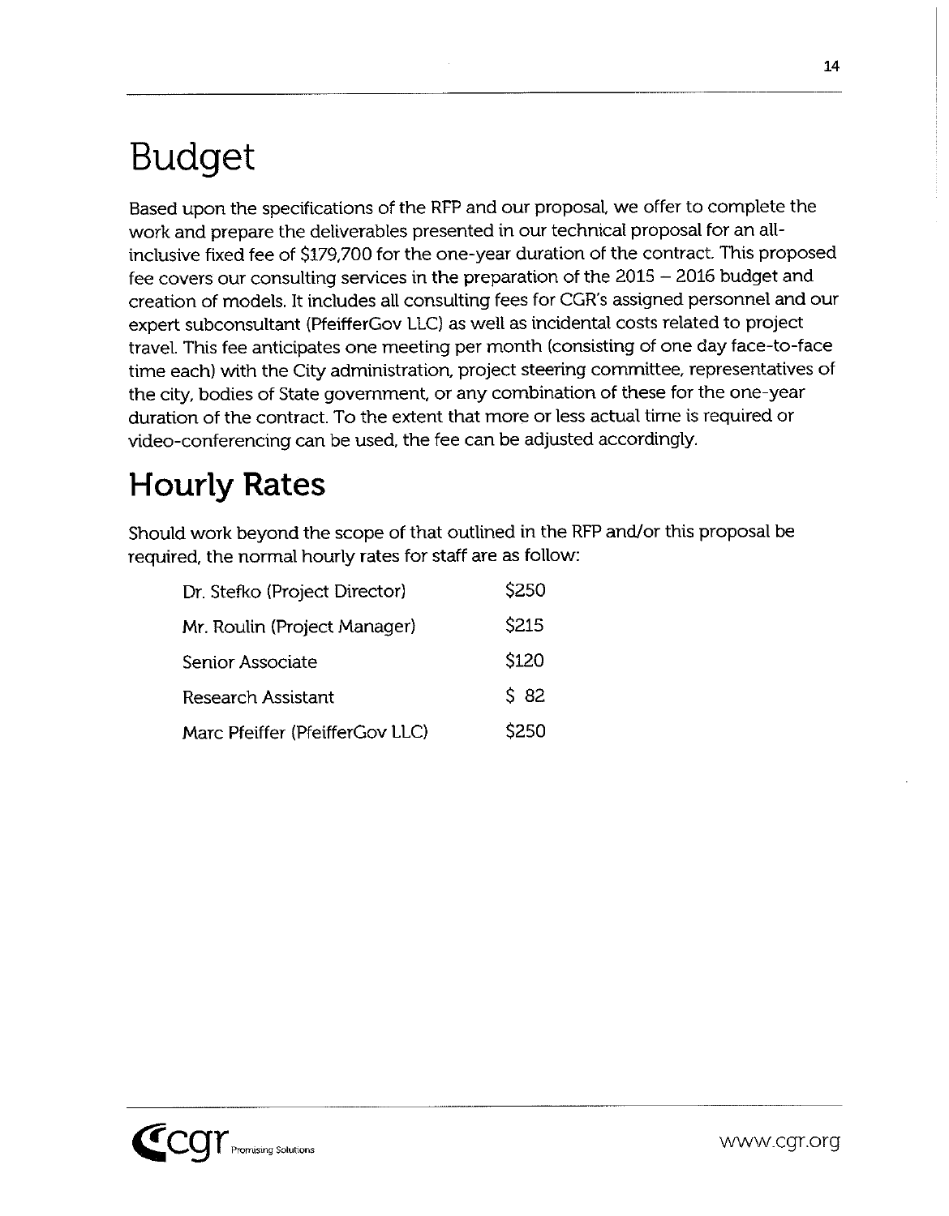# **Budget**

Based upon the specifications of the RFP and our proposal, we offer to complete the work and prepare the deliverables presented in our technical proposal for an allinclusive fixed fee of \$179,700 for the one-year duration of the contract. This proposed fee covers our consulting services in the preparation of the 2015 - 2016 budget and creation of models. It includes all consulting fees for CGR's assigned personnel and our expert subconsultant (PfeifferGov LLC) as well as incidental costs related to project travel. This fee anticipates one meeting per month (consisting of one day face-to-face time each) with the City administration, project steering committee, representatives of the city, bodies of State government, or any combination of these for the one-year duration of the contract. To the extent that more or less actual time is required or video-conferencing can be used, the fee can be adjusted accordingly.

## **Hourly Rates**

Should work beyond the scope of that outlined in the RFP and/or this proposal be required, the normal hourly rates for staff are as follow:

| Dr. Stefko (Project Director)   | \$250       |
|---------------------------------|-------------|
| Mr. Roulin (Project Manager)    | <b>S215</b> |
| Senior Associate                | \$120       |
| <b>Research Assistant</b>       | $S$ 82      |
| Marc Pfeiffer (PfeifferGov LLC) | \$250       |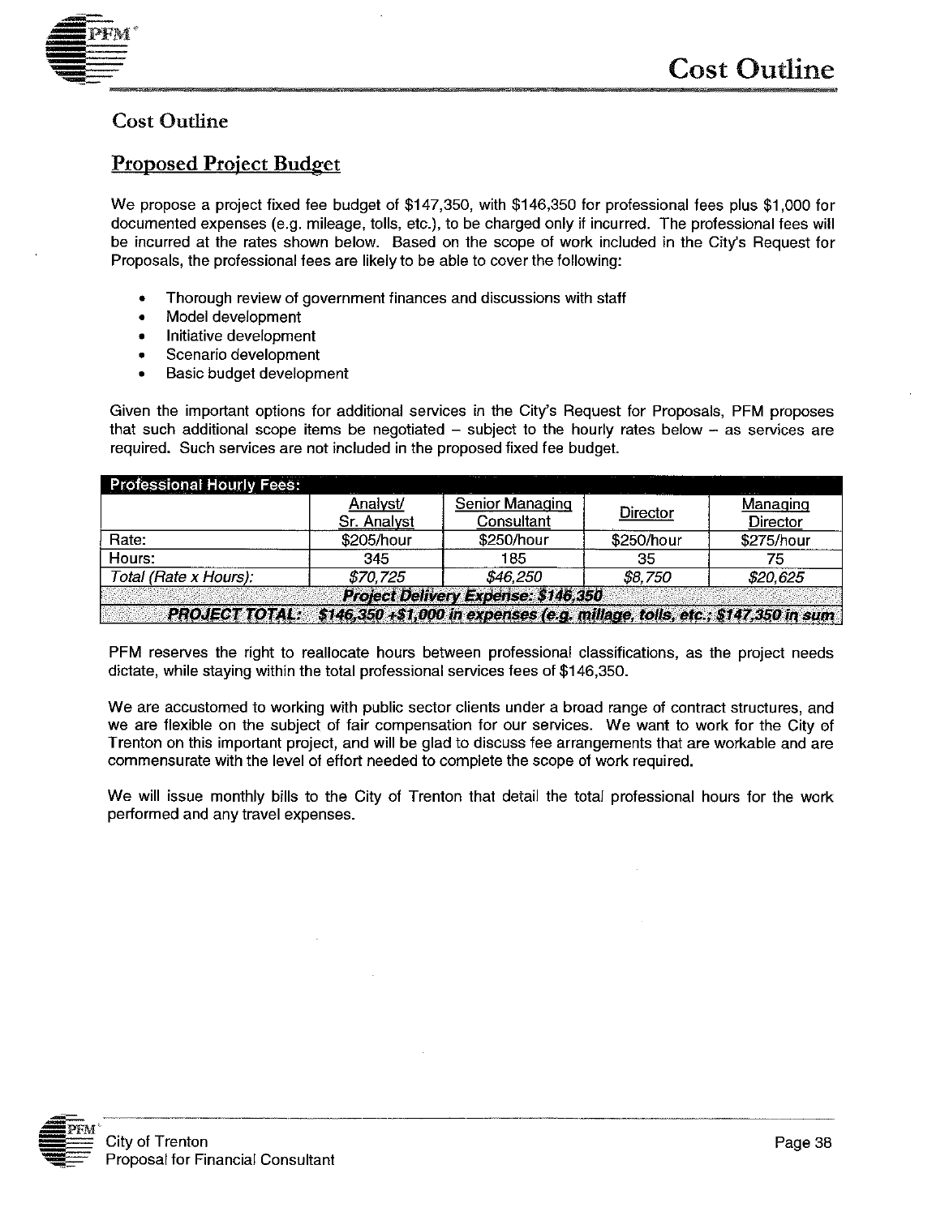

## **Cost Outline**

## **Proposed Project Budget**

We propose a project fixed fee budget of \$147,350, with \$146,350 for professional fees plus \$1,000 for documented expenses (e.g. mileage, tolls, etc.), to be charged only if incurred. The professional fees will be incurred at the rates shown below. Based on the scope of work included in the City's Request for Proposals, the professional fees are likely to be able to cover the following:

- Thorough review of government finances and discussions with staff
- Model development  $\bullet$
- Initiative development  $\bullet$
- Scenario development  $\bullet$
- Basic budget development  $\bullet$

Given the important options for additional services in the City's Request for Proposals, PFM proposes that such additional scope items be negotiated  $-$  subject to the hourly rates below  $-$  as services are required. Such services are not included in the proposed fixed fee budget.

| <b>Professional Hourly Fees:</b>                                                                     |             |                 |            |            |  |
|------------------------------------------------------------------------------------------------------|-------------|-----------------|------------|------------|--|
|                                                                                                      | Analyst/    | Senior Managing | Director   | Managing   |  |
|                                                                                                      | Sr. Analyst | Consultant      |            | Director   |  |
| Rate:                                                                                                | \$205/hour  | \$250/hour      | \$250/hour | \$275/hour |  |
| Hours:                                                                                               | 345         | 185             | 35         | 75         |  |
| Total (Rate x Hours):                                                                                | \$70.725    | \$46.250        | \$8,750    | \$20,625   |  |
| Project Delivery Expense: \$146,350                                                                  |             |                 |            |            |  |
| <b>PROJECT TOTAL:</b><br>\$146,350 +\$1,000 in expenses (e.g. millage, tolls, etc.; \$147,350 in sum |             |                 |            |            |  |

PFM reserves the right to reallocate hours between professional classifications, as the project needs dictate, while staying within the total professional services fees of \$146,350.

We are accustomed to working with public sector clients under a broad range of contract structures, and we are flexible on the subject of fair compensation for our services. We want to work for the City of Trenton on this important project, and will be glad to discuss fee arrangements that are workable and are commensurate with the level of effort needed to complete the scope of work required.

We will issue monthly bills to the City of Trenton that detail the total professional hours for the work performed and any travel expenses.

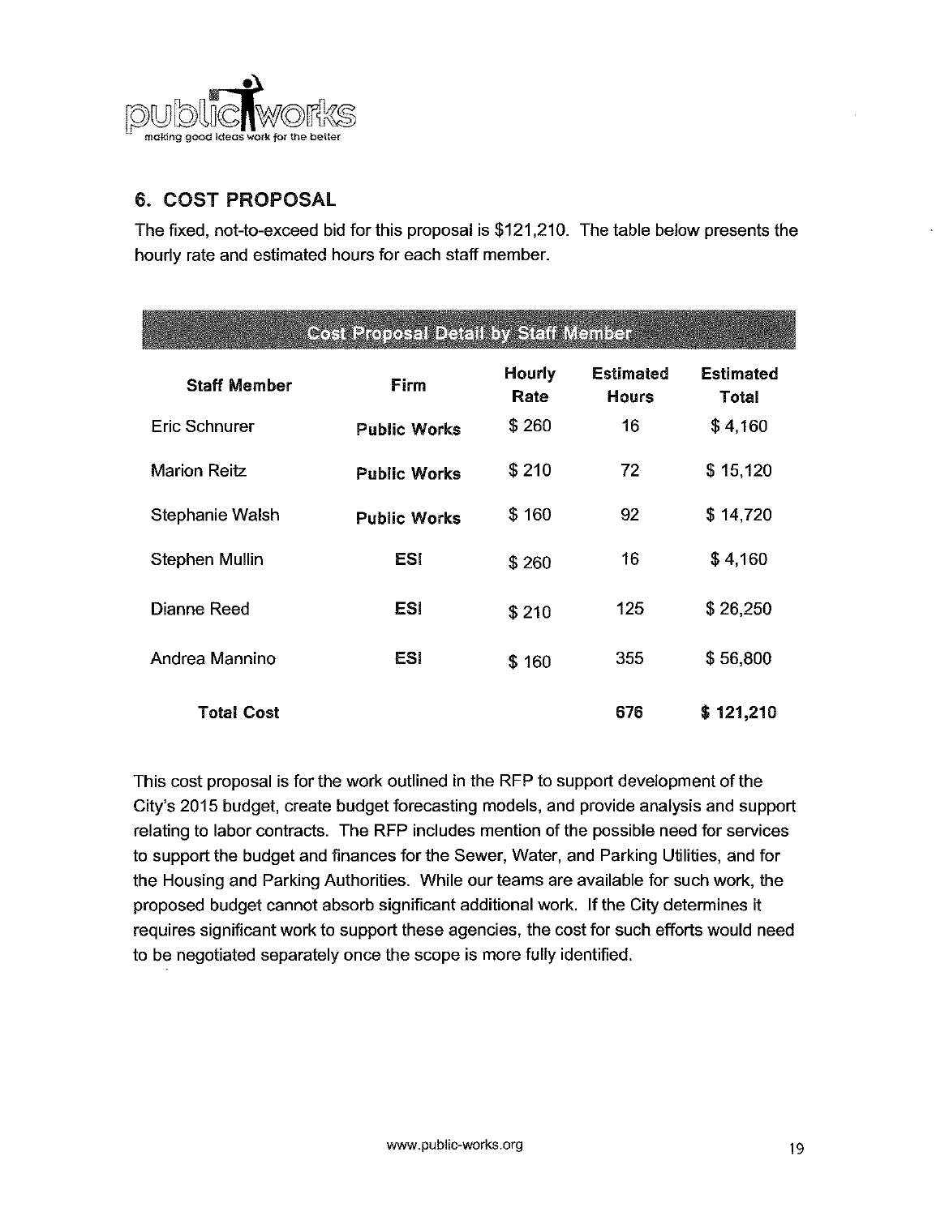

## 6. COST PROPOSAL

The fixed, not-to-exceed bid for this proposal is \$121,210. The table below presents the hourly rate and estimated hours for each staff member.

| <b>Cost Proposal Detail by Staff Member</b> |                     |                |                                  |                           |
|---------------------------------------------|---------------------|----------------|----------------------------------|---------------------------|
| <b>Staff Member</b>                         | Firm                | Hourly<br>Rate | <b>Estimated</b><br><b>Hours</b> | <b>Estimated</b><br>Total |
| Eric Schnurer                               | <b>Public Works</b> | \$260          | 16                               | \$4.160                   |
| <b>Marion Reitz</b>                         | <b>Public Works</b> | \$210          | 72                               | \$15,120                  |
| Stephanie Walsh                             | <b>Public Works</b> | \$160          | 92                               | \$14,720                  |
| Stephen Mullin                              | <b>ESI</b>          | \$260          | 16                               | \$4,160                   |
| Dianne Reed                                 | ESI                 | \$210          | 125                              | \$26,250                  |
| Andrea Mannino                              | ES!                 | \$160          | 355                              | \$56,800                  |
| <b>Total Cost</b>                           |                     |                | 676                              | \$121,210                 |

This cost proposal is for the work outlined in the RFP to support development of the City's 2015 budget, create budget forecasting models, and provide analysis and support relating to labor contracts. The RFP includes mention of the possible need for services to support the budget and finances for the Sewer, Water, and Parking Utilities, and for the Housing and Parking Authorities. While our teams are available for such work, the proposed budget cannot absorb significant additional work. If the City determines it requires significant work to support these agencies, the cost for such efforts would need to be negotiated separately once the scope is more fully identified.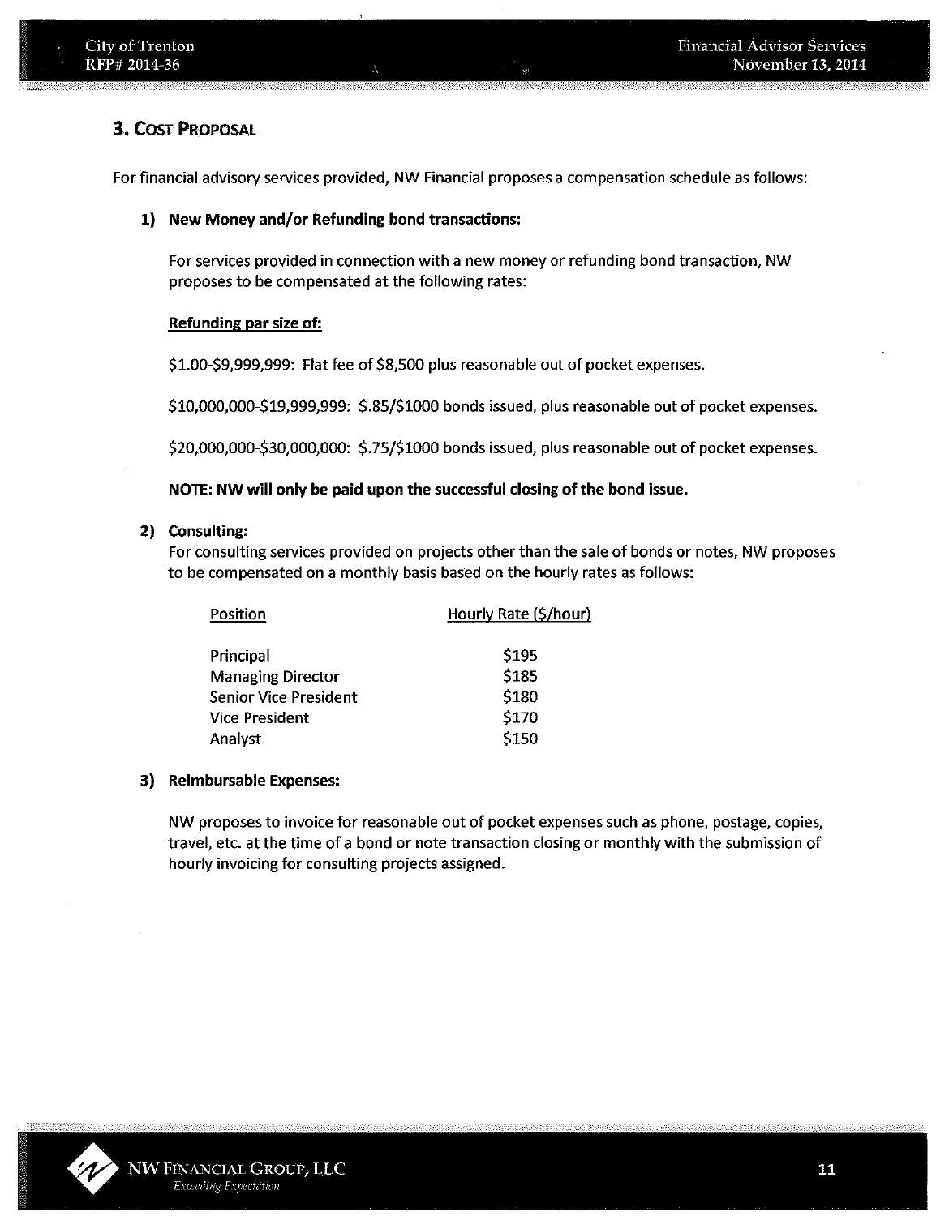## **3. COST PROPOSAL**

For financial advisory services provided, NW Financial proposes a compensation schedule as follows:

## 1) New Money and/or Refunding bond transactions:

For services provided in connection with a new money or refunding bond transaction, NW proposes to be compensated at the following rates:

## Refunding par size of:

\$1.00-\$9,999,999: Flat fee of \$8,500 plus reasonable out of pocket expenses.

\$10,000,000-\$19,999,999: \$.85/\$1000 bonds issued, plus reasonable out of pocket expenses.

\$20,000,000-\$30,000,000: \$.75/\$1000 bonds issued, plus reasonable out of pocket expenses.

## NOTE: NW will only be paid upon the successful closing of the bond issue.

## 2) Consulting:

For consulting services provided on projects other than the sale of bonds or notes. NW proposes to be compensated on a monthly basis based on the hourly rates as follows:

| Position                     | Hourly Rate (\$/hour) |
|------------------------------|-----------------------|
| Principal                    | \$195                 |
| <b>Managing Director</b>     | \$185                 |
| <b>Senior Vice President</b> | \$180                 |
| <b>Vice President</b>        | \$170                 |
| Analyst                      | \$150                 |

## 3) Reimbursable Expenses:

NW proposes to invoice for reasonable out of pocket expenses such as phone, postage, copies, travel, etc. at the time of a bond or note transaction closing or monthly with the submission of hourly invoicing for consulting projects assigned.